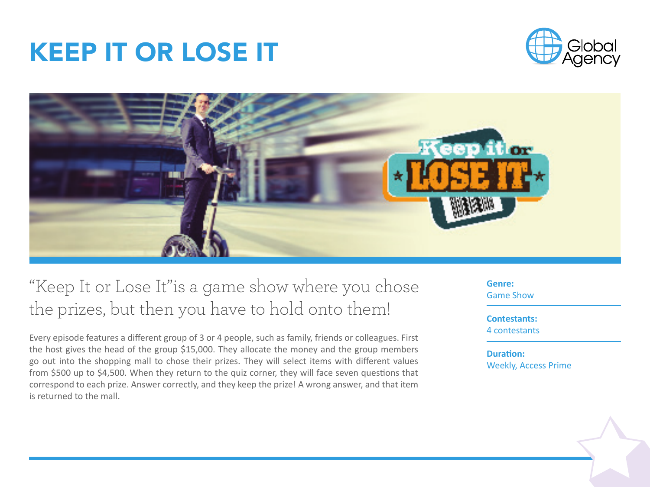



### "Keep It or Lose It"is a game show where you chose the prizes, but then you have to hold onto them!

Every episode features a different group of 3 or 4 people, such as family, friends or colleagues. First the host gives the head of the group \$15,000. They allocate the money and the group members go out into the shopping mall to chose their prizes. They will select items with different values from \$500 up to \$4,500. When they return to the quiz corner, they will face seven questions that correspond to each prize. Answer correctly, and they keep the prize! A wrong answer, and that item is returned to the mall.

**Genre:** Game Show

**Contestants:** 4 contestants

**Duration:** Weekly, Access Prime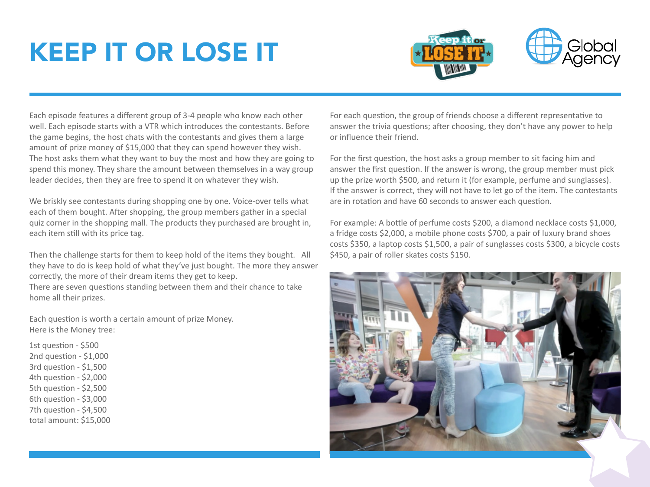



Each episode features a different group of 3-4 people who know each other well. Each episode starts with a VTR which introduces the contestants. Before the game begins, the host chats with the contestants and gives them a large amount of prize money of \$15,000 that they can spend however they wish. The host asks them what they want to buy the most and how they are going to spend this money. They share the amount between themselves in a way group leader decides, then they are free to spend it on whatever they wish.

We briskly see contestants during shopping one by one. Voice-over tells what each of them bought. After shopping, the group members gather in a special quiz corner in the shopping mall. The products they purchased are brought in, each item still with its price tag.

Then the challenge starts for them to keep hold of the items they bought. All they have to do is keep hold of what they've just bought. The more they answer correctly, the more of their dream items they get to keep.

There are seven questions standing between them and their chance to take home all their prizes.

Each question is worth a certain amount of prize Money. Here is the Money tree:

1st question - \$500 2nd question - \$1,000 3rd question - \$1,500 4th question - \$2,000 5th question - \$2,500 6th question - \$3,000 7th question - \$4,500 total amount: \$15,000 For each question, the group of friends choose a different representative to answer the trivia questions; after choosing, they don't have any power to help or influence their friend.

For the first question, the host asks a group member to sit facing him and answer the first question. If the answer is wrong, the group member must pick up the prize worth \$500, and return it (for example, perfume and sunglasses). If the answer is correct, they will not have to let go of the item. The contestants are in rotation and have 60 seconds to answer each question.

For example: A bottle of perfume costs \$200, a diamond necklace costs \$1,000, a fridge costs \$2,000, a mobile phone costs \$700, a pair of luxury brand shoes costs \$350, a laptop costs \$1,500, a pair of sunglasses costs \$300, a bicycle costs \$450, a pair of roller skates costs \$150.

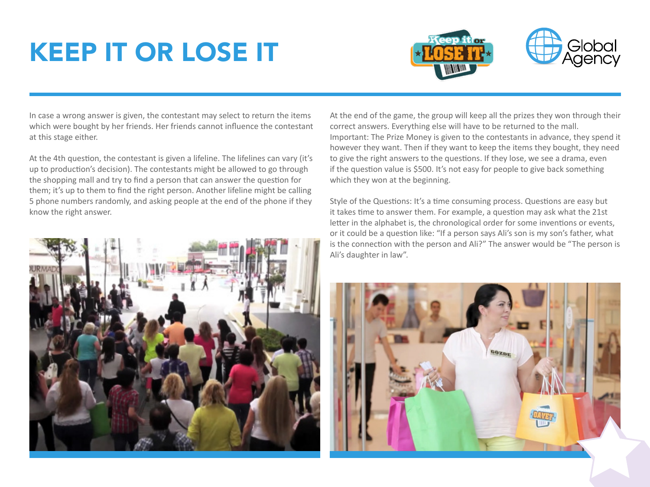



In case a wrong answer is given, the contestant may select to return the items which were bought by her friends. Her friends cannot influence the contestant at this stage either.

At the 4th question, the contestant is given a lifeline. The lifelines can vary (it's up to production's decision). The contestants might be allowed to go through the shopping mall and try to find a person that can answer the question for them; it's up to them to find the right person. Another lifeline might be calling 5 phone numbers randomly, and asking people at the end of the phone if they know the right answer.



At the end of the game, the group will keep all the prizes they won through their correct answers. Everything else will have to be returned to the mall. Important: The Prize Money is given to the contestants in advance, they spend it however they want. Then if they want to keep the items they bought, they need to give the right answers to the questions. If they lose, we see a drama, even if the question value is \$500. It's not easy for people to give back something which they won at the beginning.

Style of the Questions: It's a time consuming process. Questions are easy but it takes time to answer them. For example, a question may ask what the 21st letter in the alphabet is, the chronological order for some inventions or events, or it could be a question like: "If a person says Ali's son is my son's father, what is the connection with the person and Ali?" The answer would be "The person is Ali's daughter in law".

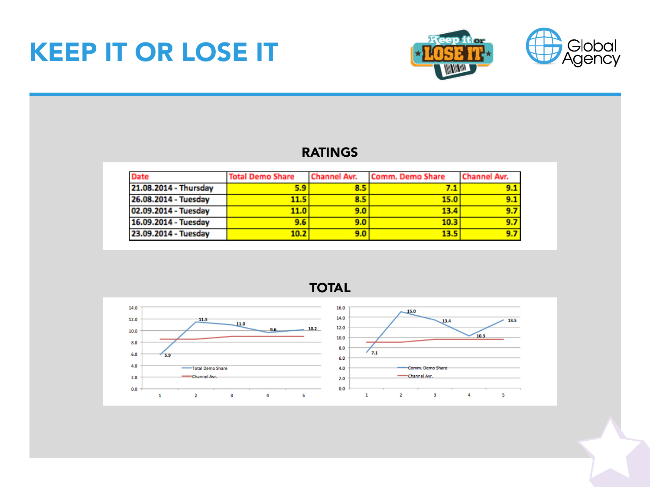

### RATINGS

| <b>Date</b>           | <b>Total Demo Share</b> | Channel Avr. | Comm. Demo Share | Channel Avr. |
|-----------------------|-------------------------|--------------|------------------|--------------|
| 21.08.2014 - Thursday | 5.9                     | 8.5          |                  | 9.1          |
| 26.08.2014 - Tuesday  | 11.5                    | 8.5          | 15.0             | 9.1          |
| 02.09.2014 - Tuesday  | 11.0                    | 9.0          | 13.4             | 9.7          |
| 16.09.2014 - Tuesday  | 9.6                     | 9.0          | 10.3             | 9.7          |
| 23.09.2014 - Tuesday  | 10.2                    | 9.0          | 13.5             | 9.7          |



TOTAL